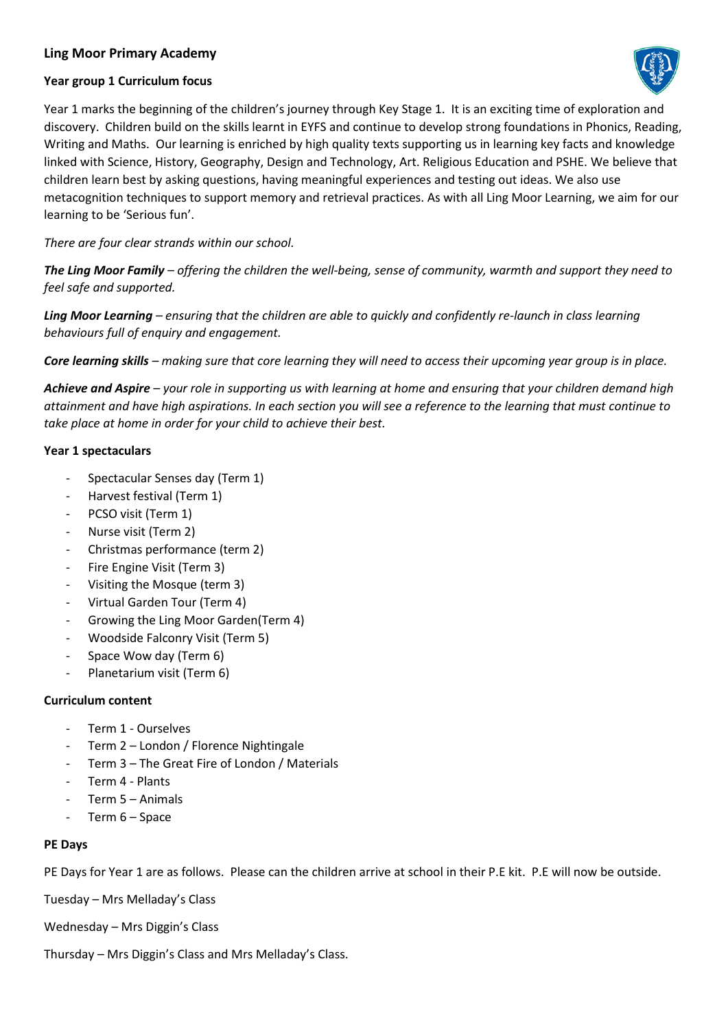# **Ling Moor Primary Academy**

## **Year group 1 Curriculum focus**



Year 1 marks the beginning of the children's journey through Key Stage 1. It is an exciting time of exploration and discovery. Children build on the skills learnt in EYFS and continue to develop strong foundations in Phonics, Reading, Writing and Maths. Our learning is enriched by high quality texts supporting us in learning key facts and knowledge linked with Science, History, Geography, Design and Technology, Art. Religious Education and PSHE. We believe that children learn best by asking questions, having meaningful experiences and testing out ideas. We also use metacognition techniques to support memory and retrieval practices. As with all Ling Moor Learning, we aim for our learning to be 'Serious fun'.

*There are four clear strands within our school.*

*The Ling Moor Family – offering the children the well-being, sense of community, warmth and support they need to feel safe and supported.* 

*Ling Moor Learning – ensuring that the children are able to quickly and confidently re-launch in class learning behaviours full of enquiry and engagement.* 

*Core learning skills – making sure that core learning they will need to access their upcoming year group is in place.*

*Achieve and Aspire – your role in supporting us with learning at home and ensuring that your children demand high attainment and have high aspirations. In each section you will see a reference to the learning that must continue to take place at home in order for your child to achieve their best.*

## **Year 1 spectaculars**

- Spectacular Senses day (Term 1)
- Harvest festival (Term 1)
- PCSO visit (Term 1)
- Nurse visit (Term 2)
- Christmas performance (term 2)
- Fire Engine Visit (Term 3)
- Visiting the Mosque (term 3)
- Virtual Garden Tour (Term 4)
- Growing the Ling Moor Garden(Term 4)
- Woodside Falconry Visit (Term 5)
- Space Wow day (Term 6)
- Planetarium visit (Term 6)

# **Curriculum content**

- Term 1 Ourselves
- Term 2 London / Florence Nightingale
- Term 3 The Great Fire of London / Materials
- Term 4 Plants
- Term 5 Animals
- Term 6 Space

#### **PE Days**

PE Days for Year 1 are as follows. Please can the children arrive at school in their P.E kit. P.E will now be outside.

Tuesday – Mrs Melladay's Class

Wednesday – Mrs Diggin's Class

Thursday – Mrs Diggin's Class and Mrs Melladay's Class.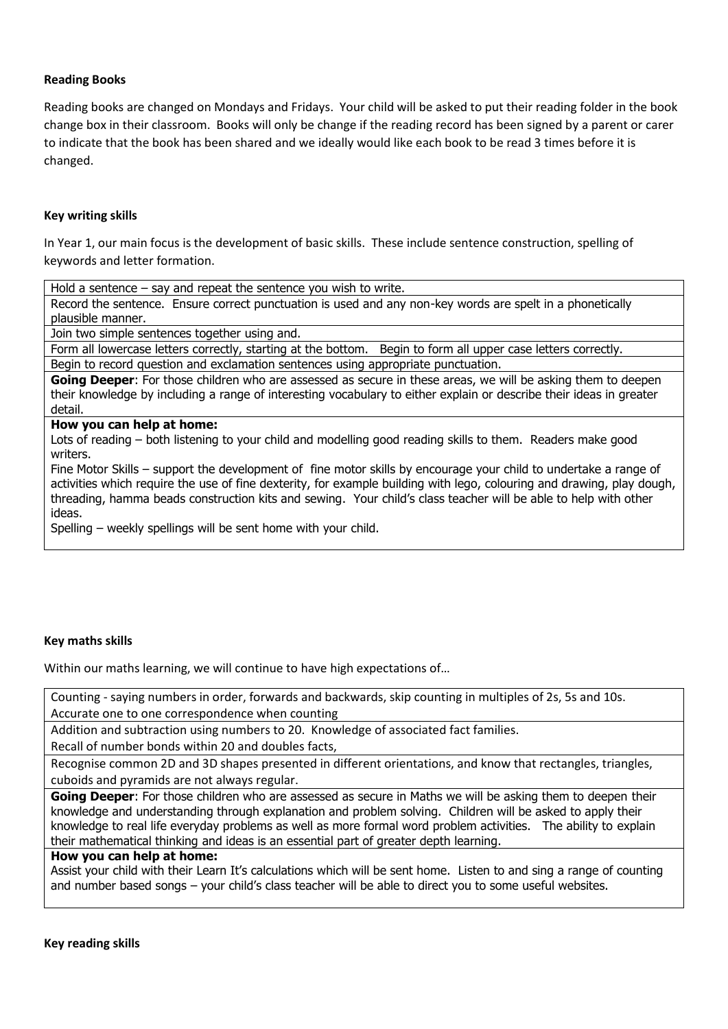## **Reading Books**

Reading books are changed on Mondays and Fridays. Your child will be asked to put their reading folder in the book change box in their classroom. Books will only be change if the reading record has been signed by a parent or carer to indicate that the book has been shared and we ideally would like each book to be read 3 times before it is changed.

#### **Key writing skills**

In Year 1, our main focus is the development of basic skills. These include sentence construction, spelling of keywords and letter formation.

Hold a sentence – say and repeat the sentence you wish to write.

Record the sentence. Ensure correct punctuation is used and any non-key words are spelt in a phonetically plausible manner.

Join two simple sentences together using and.

Form all lowercase letters correctly, starting at the bottom. Begin to form all upper case letters correctly.

Begin to record question and exclamation sentences using appropriate punctuation.

**Going Deeper**: For those children who are assessed as secure in these areas, we will be asking them to deepen their knowledge by including a range of interesting vocabulary to either explain or describe their ideas in greater detail.

# **How you can help at home:**

Lots of reading – both listening to your child and modelling good reading skills to them. Readers make good writers.

Fine Motor Skills – support the development of fine motor skills by encourage your child to undertake a range of activities which require the use of fine dexterity, for example building with lego, colouring and drawing, play dough, threading, hamma beads construction kits and sewing. Your child's class teacher will be able to help with other ideas.

Spelling – weekly spellings will be sent home with your child.

#### **Key maths skills**

Within our maths learning, we will continue to have high expectations of…

Counting - saying numbers in order, forwards and backwards, skip counting in multiples of 2s, 5s and 10s. Accurate one to one correspondence when counting

Addition and subtraction using numbers to 20. Knowledge of associated fact families.

Recall of number bonds within 20 and doubles facts,

Recognise common 2D and 3D shapes presented in different orientations, and know that rectangles, triangles, cuboids and pyramids are not always regular.

**Going Deeper**: For those children who are assessed as secure in Maths we will be asking them to deepen their knowledge and understanding through explanation and problem solving. Children will be asked to apply their knowledge to real life everyday problems as well as more formal word problem activities. The ability to explain their mathematical thinking and ideas is an essential part of greater depth learning.

# **How you can help at home:**

Assist your child with their Learn It's calculations which will be sent home. Listen to and sing a range of counting and number based songs – your child's class teacher will be able to direct you to some useful websites.